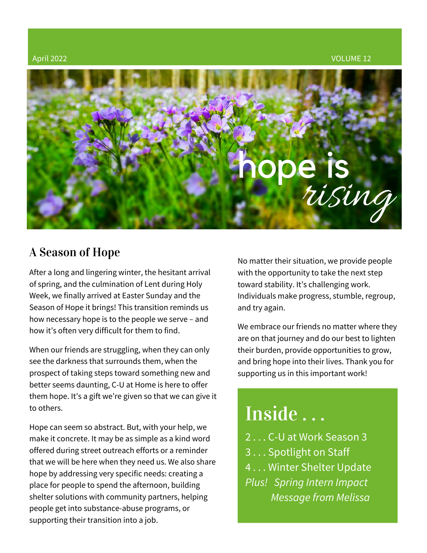

## A Season of Hope

After a long and lingering winter, the hesitant arrival of spring, and the culmination of Lent during Holy Week, we finally arrived at Easter Sunday and the Season of Hope it brings! This transition reminds us how necessary hope is to the people we serve – and how it's often very difficult for them to find.

When our friends are struggling, when they can only see the darkness that surrounds them, when the prospect of taking steps toward something new and better seems daunting, C-U at [Home](https://www.cuathome.us/) is here to offer them hope. It's a gift we're given so that we can give it to others.

Hope can seem so abstract. But, with your help, we make it concrete. It may be as simple as a kind word offered during street outreach efforts or a reminder that we will be here when they need us. We also share hope by addressing very specific needs: creating a place for people to spend the afternoon, building shelter solutions with community partners, helping people get into substance-abuse programs, or supporting their transition into a job.

No matter their situation, we provide people with the opportunity to take the next step toward stability. It's challenging work. Individuals make progress, stumble, regroup, and try again.

We embrace our friends no matter where they are on that journey and do our best to lighten their burden, provide opportunities to grow, and bring hope into their lives. Thank you for supporting us in this important work!

# Inside . . .

2 . . . C-U at Work Season 3 3 . . . Spotlight on Staff 4 . . . Winter Shelter Update *Plus! Spring Intern Impact Message from Melissa*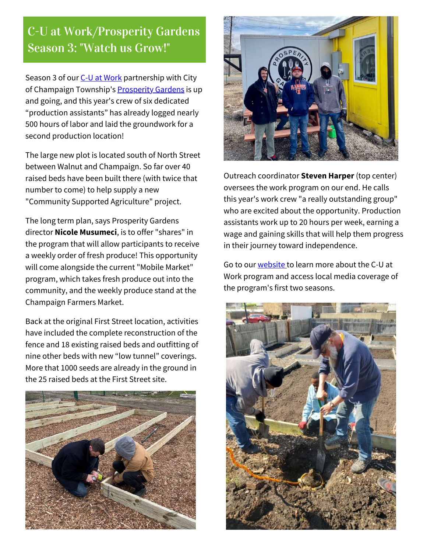## C-U at Work/Prosperity Gardens Season 3: "Watch us Grow!"

Season 3 of our C-U at [Work](https://www.cuathome.us/c-u-at-work/) partnership with City of Champaign Township's **[Prosperity](https://www.prosperitygardens.org/about) Gardens** is up and going, and this year's crew of six dedicated "production assistants" has already logged nearly 500 hours of labor and laid the groundwork for a second production location!

The large new plot is located south of North Street between Walnut and Champaign. So far over 40 raised beds have been built there (with twice that number to come) to help supply a new "Community Supported Agriculture" project.

The long term plan, says Prosperity Gardens director **Nicole Musumeci**, is to offer "shares" in the program that will allow participants to receive a weekly order of fresh produce! This opportunity will come alongside the current "Mobile Market" program, which takes fresh produce out into the community, and the weekly produce stand at the Champaign Farmers Market.

Back at the original First Street location, activities have included the complete reconstruction of the fence and 18 existing raised beds and outfitting of nine other beds with new "low tunnel" coverings. More that 1000 seeds are already in the ground in the 25 raised beds at the First Street site.





Outreach coordinator **Steven Harper** (top center) oversees the work program on our end. He calls this year's work crew "a really outstanding group" who are excited about the opportunity. Production assistants work up to 20 hours per week, earning a wage and gaining skills that will help them progress in their journey toward independence.

Go to our [website](https://www.cuathome.us/) [t](https://www.cuathome.us/)o learn more about the C-U at Work program and access local media coverage of the program's first two seasons.

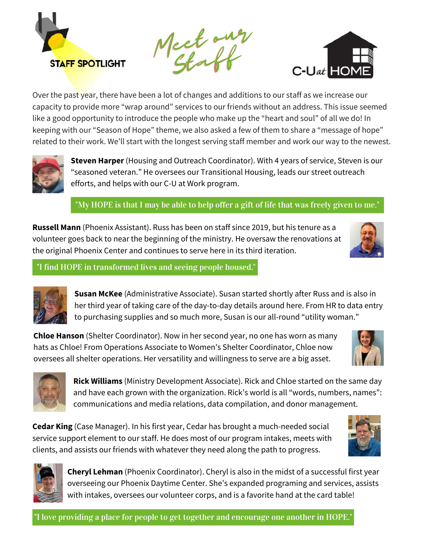

Meet our Staff



Over the past year, there have been a lot of changes and additions to our staff as we increase our capacity to provide more "wrap around" services to our friends without an address. This issue seemed like a good opportunity to introduce the people who make up the "heart and soul" of all we do! In keeping with our "Season of Hope" theme, we also asked a few of them to share a "message of hope" related to their work. We'll start with the longest serving staff member and work our way to the newest.



**Steven Harper** (Housing and Outreach Coordinator). With 4 years of service, Steven is our "seasoned veteran." He oversees our Transitional Housing, leads our street outreach efforts, and helps with our C-U at Work program.

"My HOPE is that I may be able to help offer a gift of life that was freely given to me."

**Russell Mann** (Phoenix Assistant). Russ has been on staff since 2019, but his tenure as a volunteer goes back to near the beginning of the ministry. He oversaw the renovations at the original Phoenix Center and continues to serve here in its third iteration.



"I find HOPE in transformed lives and seeing people housed."



**Susan McKee** (Administrative Associate). Susan started shortly after Russ and is also in her third year of taking care of the day-to-day details around here. From HR to data entry to purchasing supplies and so much more, Susan is our all-round "utility woman."

**Chloe Hanson** (Shelter Coordinator). Now in her second year, no one has worn as many hats as Chloe! From Operations Associate to Women's Shelter Coordinator, Chloe now oversees all shelter operations. Her versatility and willingness to serve are a big asset.





**Rick Williams** (Ministry Development Associate). Rick and Chloe started on the same day and have each grown with the organization. Rick's world is all "words, numbers, names": communications and media relations, data compilation, and donor management.

**Cedar King** (Case Manager). In his first year, Cedar has brought a much-needed social service support element to our staff. He does most of our program intakes, meets with clients, and assists our friends with whatever they need along the path to progress.





**Cheryl Lehman** (Phoenix Coordinator). Cheryl is also in the midst of a successful first year overseeing our Phoenix Daytime Center. She's expanded programing and services, assists with intakes, oversees our volunteer corps, and is a favorite hand at the card table!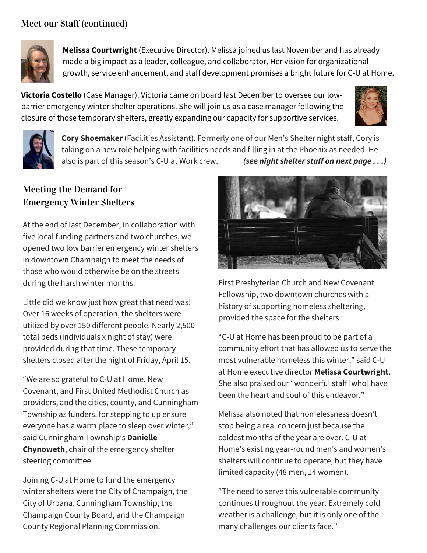### Meet our Staff (continued)



**Melissa Courtwright** (Executive Director). Melissa joined us last November and has already made a big impact as a leader, colleague, and collaborator. Her vision for organizational growth, service enhancement, and staff development promises a bright future for C-U at Home.

**Victoria Costello** (Case Manager). Victoria came on board last December to oversee our lowbarrier emergency winter shelter operations. She will join us as a case manager following the closure of those temporary shelters, greatly expanding our capacity for supportive services.





**Cory Shoemaker** (Facilities Assistant). Formerly one of our Men's Shelter night staff, Cory is taking on a new role helping with facilities needs and filling in at the Phoenix as needed. He also is part of this season's C-U at Work crew. *(see night shelter staff on next page . . .)*

### Meeting the Demand for Emergency Winter Shelters

At the end of last December, in collaboration with five local funding partners and two churches, we opened two low barrier emergency winter shelters in downtown Champaign to meet the needs of those who would otherwise be on the streets during the harsh winter months.

Little did we know just how great that need was! Over 16 weeks of operation, the shelters were utilized by over 150 different people. Nearly 2,500 total beds (individuals x night of stay) were provided during that time. These temporary shelters closed after the night of Friday, April 15.

"We are so grateful to C-U at Home, New Covenant, and First United Methodist Church as providers, and the cities, county, and Cunningham Township as funders, for stepping to up ensure everyone has a warm place to sleep over winter," said Cunningham Township's **Danielle Chynoweth**, chair of the emergency shelter steering committee.

Joining C-U at Home to fund the emergency winter shelters were the City of Champaign, the City of Urbana, Cunningham Township, the Champaign County Board, and the Champaign County Regional Planning Commission.



First Presbyterian Church and New Covenant Fellowship, two downtown churches with a history of supporting homeless sheltering, provided the space for the shelters.

"C-U at Home has been proud to be part of a community effort that has allowed us to serve the most vulnerable homeless this winter," said C-U at Home executive director **Melissa Courtwright**. She also praised our "wonderful staff [who] have been the heart and soul of this endeavor."

Melissa also noted that homelessness doesn't stop being a real concern just because the coldest months of the year are over. C-U at Home's existing year-round men's and women's shelters will continue to operate, but they have limited capacity (48 men, 14 women).

"The need to serve this vulnerable community continues throughout the year. Extremely cold weather is a challenge, but it is only one of the many challenges our clients face."